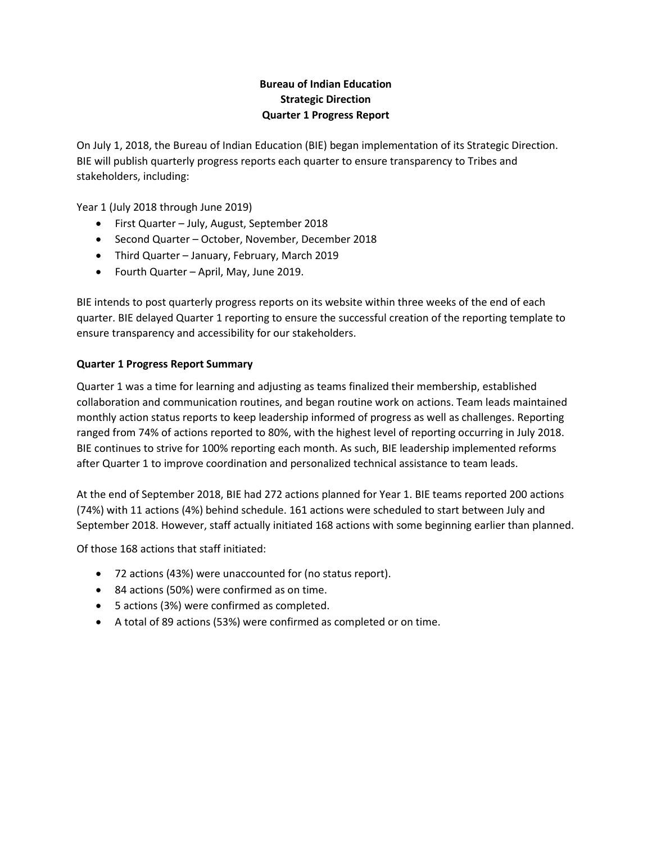# **Bureau of Indian Education Strategic Direction Quarter 1 Progress Report**

On July 1, 2018, the Bureau of Indian Education (BIE) began implementation of its Strategic Direction. BIE will publish quarterly progress reports each quarter to ensure transparency to Tribes and stakeholders, including:

Year 1 (July 2018 through June 2019)

- First Quarter July, August, September 2018
- Second Quarter October, November, December 2018
- Third Quarter January, February, March 2019
- Fourth Quarter April, May, June 2019.

BIE intends to post quarterly progress reports on its website within three weeks of the end of each quarter. BIE delayed Quarter 1 reporting to ensure the successful creation of the reporting template to ensure transparency and accessibility for our stakeholders.

## **Quarter 1 Progress Report Summary**

Quarter 1 was a time for learning and adjusting as teams finalized their membership, established collaboration and communication routines, and began routine work on actions. Team leads maintained monthly action status reports to keep leadership informed of progress as well as challenges. Reporting ranged from 74% of actions reported to 80%, with the highest level of reporting occurring in July 2018. BIE continues to strive for 100% reporting each month. As such, BIE leadership implemented reforms after Quarter 1 to improve coordination and personalized technical assistance to team leads.

At the end of September 2018, BIE had 272 actions planned for Year 1. BIE teams reported 200 actions (74%) with 11 actions (4%) behind schedule. 161 actions were scheduled to start between July and September 2018. However, staff actually initiated 168 actions with some beginning earlier than planned.

Of those 168 actions that staff initiated:

- 72 actions (43%) were unaccounted for (no status report).
- 84 actions (50%) were confirmed as on time.
- 5 actions (3%) were confirmed as completed.
- A total of 89 actions (53%) were confirmed as completed or on time.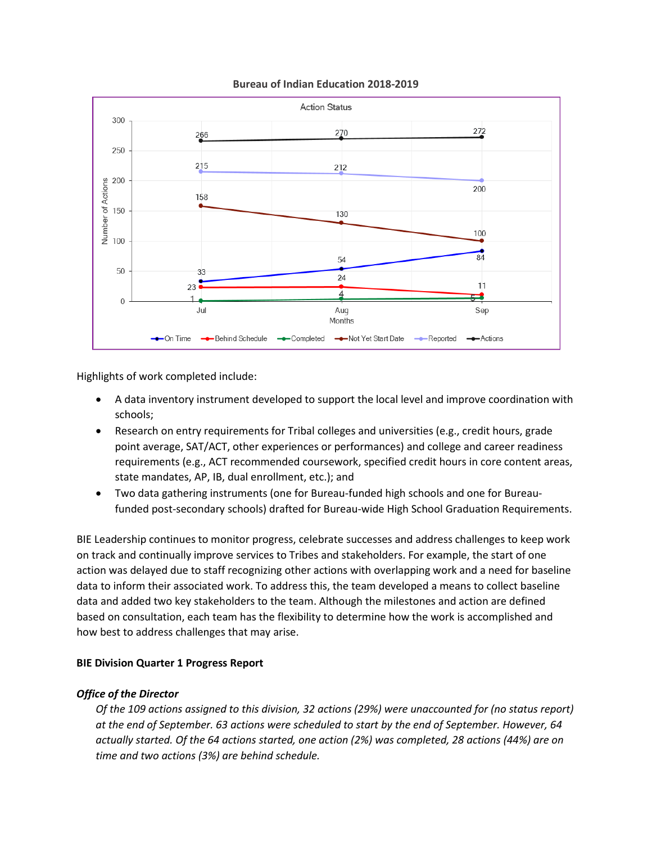#### **Bureau of Indian Education 2018-2019**



Highlights of work completed include:

- A data inventory instrument developed to support the local level and improve coordination with schools;
- Research on entry requirements for Tribal colleges and universities (e.g., credit hours, grade point average, SAT/ACT, other experiences or performances) and college and career readiness requirements (e.g., ACT recommended coursework, specified credit hours in core content areas, state mandates, AP, IB, dual enrollment, etc.); and
- Two data gathering instruments (one for Bureau-funded high schools and one for Bureaufunded post-secondary schools) drafted for Bureau-wide High School Graduation Requirements.

BIE Leadership continues to monitor progress, celebrate successes and address challenges to keep work on track and continually improve services to Tribes and stakeholders. For example, the start of one action was delayed due to staff recognizing other actions with overlapping work and a need for baseline data to inform their associated work. To address this, the team developed a means to collect baseline data and added two key stakeholders to the team. Although the milestones and action are defined based on consultation, each team has the flexibility to determine how the work is accomplished and how best to address challenges that may arise.

## **BIE Division Quarter 1 Progress Report**

## *Office of the Director*

*Of the 109 actions assigned to this division, 32 actions (29%) were unaccounted for (no status report) at the end of September. 63 actions were scheduled to start by the end of September. However, 64 actually started. Of the 64 actions started, one action (2%) was completed, 28 actions (44%) are on time and two actions (3%) are behind schedule.*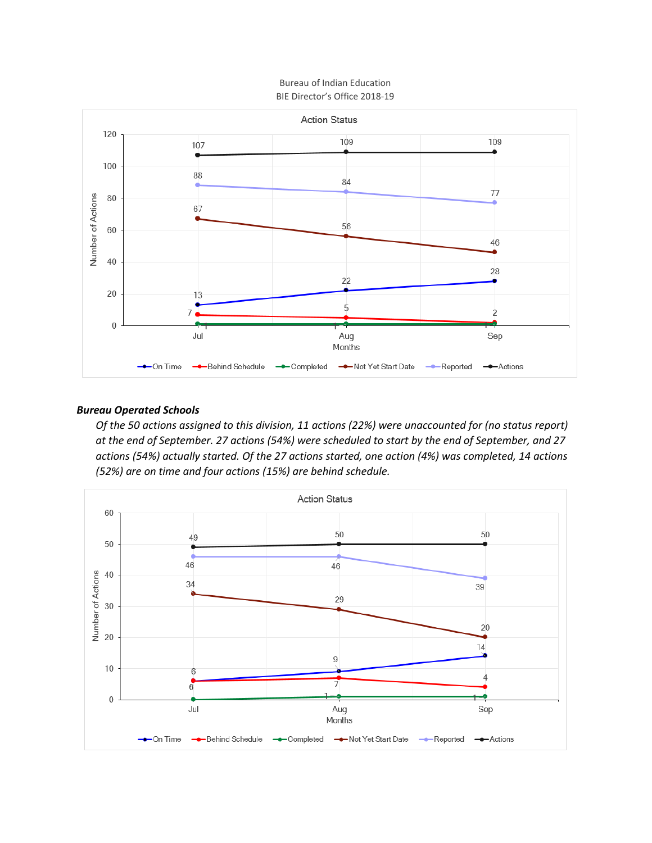### Bureau of Indian Education BIE Director's Office 2018-19



## *Bureau Operated Schools*

*Of the 50 actions assigned to this division, 11 actions (22%) were unaccounted for (no status report) at the end of September. 27 actions (54%) were scheduled to start by the end of September, and 27 actions (54%) actually started. Of the 27 actions started, one action (4%) was completed, 14 actions (52%) are on time and four actions (15%) are behind schedule.*

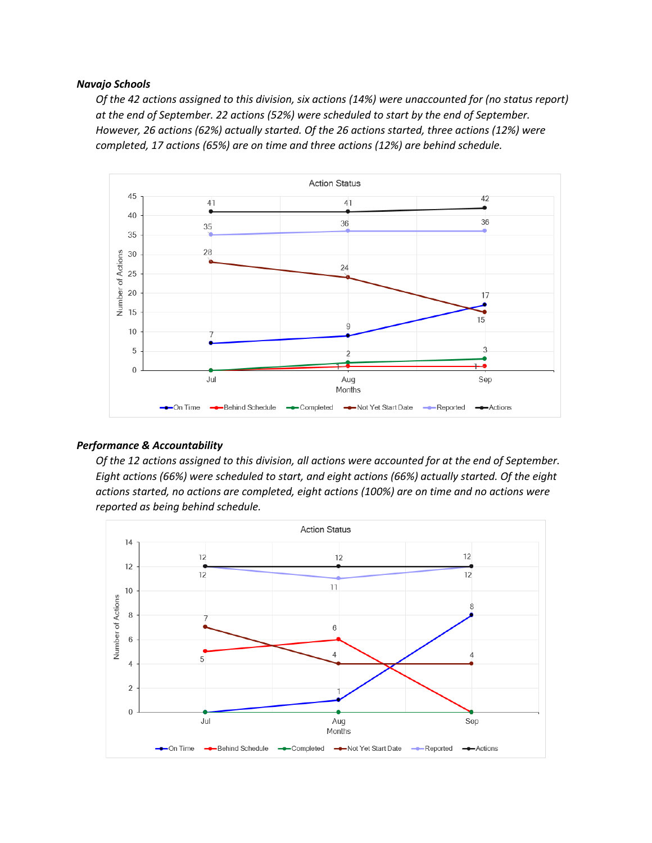#### *Navajo Schools*

*Of the 42 actions assigned to this division, six actions (14%) were unaccounted for (no status report) at the end of September. 22 actions (52%) were scheduled to start by the end of September. However, 26 actions (62%) actually started. Of the 26 actions started, three actions (12%) were completed, 17 actions (65%) are on time and three actions (12%) are behind schedule.*



## *Performance & Accountability*

*Of the 12 actions assigned to this division, all actions were accounted for at the end of September. Eight actions (66%) were scheduled to start, and eight actions (66%) actually started. Of the eight actions started, no actions are completed, eight actions (100%) are on time and no actions were reported as being behind schedule.*